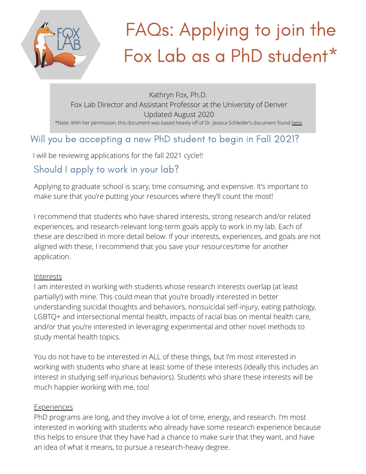

# FAQs: Applying to join the Fox Lab as a PhD student\*

Kathryn Fox, Ph.D. Fox Lab Director and Assistant Professor at the University of Denver Updated August 2020 \*Note: With her permission, this document was based heavily off of Dr. Jessica Schleider's document found [here](https://docs.google.com/document/d/1sQysBbb_dWhicWRlAUnRv-UWeJZgt-RmBxJPOfPIf9c/edit).

#### Will you be accepting a new PhD student to begin in Fall 2021?

I will be reviewing applications for the fall 2021 cycle!!

#### Should I apply to work in your lab?

Applying to graduate school is scary, time consuming, and expensive. It's important to make sure that you're putting your resources where they'll count the most!

I recommend that students who have shared interests, strong research and/or related experiences, and research-relevant long-term goals apply to work in my lab. Each of these are described in more detail below. If your interests, experiences, and goals are not aligned with these, I recommend that you save your resources/time for another application.

#### **Interests**

I am interested in working with students whose research interests overlap (at least partially!) with mine. This could mean that you're broadly interested in better understanding suicidal thoughts and behaviors, nonsuicidal self-injury, eating pathology, LGBTQ+ and intersectional mental health, impacts of racial bias on mental health care, and/or that you're interested in leveraging experimental and other novel methods to study mental health topics.

You do not have to be interested in ALL of these things, but I'm most interested in working with students who share at least some of these interests (ideally this includes an interest in studying self-injurious behaviors). Students who share these interests will be much happier working with me, too!

#### **Experiences**

PhD programs are long, and they involve a lot of time, energy, and research. I'm most interested in working with students who already have some research experience because this helps to ensure that they have had a chance to make sure that they want, and have an idea of what it means, to pursue a research-heavy degree.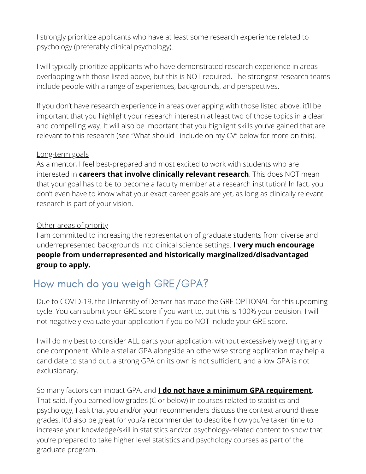I strongly prioritize applicants who have at least some research experience related to psychology (preferably clinical psychology).

I will typically prioritize applicants who have demonstrated research experience in areas overlapping with those listed above, but this is NOT required. The strongest research teams include people with a range of experiences, backgrounds, and perspectives.

If you don't have research experience in areas overlapping with those listed above, it'll be important that you highlight your research interestin at least two of those topics in a clear and compelling way. It will also be important that you highlight skills you've gained that are relevant to this research (see "What should I include on my CV" below for more on this).

#### Long-term goals

As a mentor, I feel best-prepared and most excited to work with students who are interested in **careers that involve clinically relevant research**. This does NOT mean that your goal has to be to become a faculty member at a research institution! In fact, you don't even have to know what your exact career goals are yet, as long as clinically relevant research is part of your vision.

#### Other areas of priority

I am committed to increasing the representation of graduate students from diverse and underrepresented backgrounds into clinical science settings. **I very much encourage people from underrepresented and historically marginalized/disadvantaged group to apply.**

### How much do you weigh GRE/GPA?

Due to COVID-19, the University of Denver has made the GRE OPTIONAL for this upcoming cycle. You can submit your GRE score if you want to, but this is 100% your decision. I will not negatively evaluate your application if you do NOT include your GRE score.

I will do my best to consider ALL parts your application, without excessively weighting any one component. While a stellar GPA alongside an otherwise strong application may help a candidate to stand out, a strong GPA on its own is not sufficient, and a low GPA is not exclusionary.

So many factors can impact GPA, and **I do not have a minimum GPA requirement**. That said, if you earned low grades (C or below) in courses related to statistics and psychology, I ask that you and/or your recommenders discuss the context around these grades. It'd also be great for you/a recommender to describe how you've taken time to increase your knowledge/skill in statistics and/or psychology-related content to show that you're prepared to take higher level statistics and psychology courses as part of the graduate program.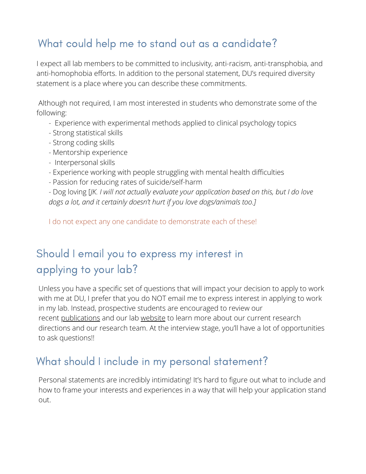### What could help me to stand out as a candidate?

I expect all lab members to be committed to inclusivity, anti-racism, anti-transphobia, and anti-homophobia efforts. In addition to the personal statement, DU's required diversity statement is a place where you can describe these commitments.

 Although not required, I am most interested in students who demonstrate some of the following:

- Experience with experimental methods applied to clinical psychology topics
- Strong statistical skills
- Strong coding skills
- Mentorship experience
- Interpersonal skills
- Experience working with people struggling with mental health difficulties
- Passion for reducing rates of suicide/self-harm

- Dog loving [*JK. I will not actually evaluate your application based on this, but I do love dogs a lot, and it certainly doesn't hurt if you love dogs/animals too.]* 

I do not expect any one candidate to demonstrate each of these!

# Should I email you to express my interest in applying to your lab?

Unless you have a specific set of questions that will impact your decision to apply to work with me at DU, I prefer that you do NOT email me to express interest in applying to work in my lab. Instead, prospective students are encouraged to review our recent [publications](https://scholar.google.com/citations?user=sGcLjXEAAAAJ&hl=en&authuser=3) and our lab [website](https://www.foxlabdu.com/) to learn more about our current research directions and our research team. At the interview stage, you'll have a lot of opportunities to ask questions!!

### What should I include in my personal statement?

Personal statements are incredibly intimidating! It's hard to figure out what to include and how to frame your interests and experiences in a way that will help your application stand out.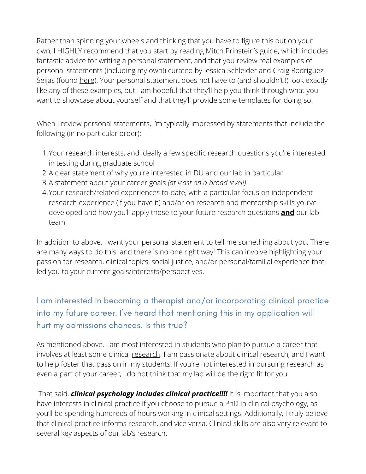Rather than spinning your wheels and thinking that you have to figure this out on your own, I HIGHLY recommend that you start by reading Mitch Prinstein's [guide,](http://mitch.web.unc.edu/files/2017/02/MitchGradSchoolAdvice.pdf) which includes fantastic advice for writing a personal statement, and that you review real examples of personal statements (including my own!) curated by Jessica Schleider and Craig RodriguezSeijas (found [here](https://docs.google.com/document/d/11vTrJDNSXJR0w7SYhz_nYJ8oc6OA6DXAhStWrLxfaQ8/edit)). Your personal statement does not have to (and shouldn't!!) look exactly like any of these examples, but I am hopeful that they'll help you think through what you want to showcase about yourself and that they'll provide some templates for doing so.

When I review personal statements, I'm typically impressed by statements that include the following (in no particular order):

- Your research interests, and ideally a few specific research questions you're interested 1. in testing during graduate school
- A clear statement of why you're interested in DU and our lab in particular 2.
- A statement about your career goals *(at least on a broad level!)* 3.
- Your research/related experiences to-date, with a particular focus on independent 4. research experience (if you have it) and/or on research and mentorship skills you've developed and how you'll apply those to your future research questions **and** our lab team

In addition to above, I want your personal statement to tell me something about you. There are many ways to do this, and there is no one right way! This can involve highlighting your passion for research, clinical topics, social justice, and/or personal/familial experience that led you to your current goals/interests/perspectives.

I am interested in becoming a therapist and/or incorporating clinical practice into my future career. I've heard that mentioning this in my application will hurt my admissions chances. Is this true?

As mentioned above, I am most interested in students who plan to pursue a career that involves at least some clinical research. I am passionate about clinical research, and I want to help foster that passion in my students. If you're not interested in pursuing research as even a part of your career, I do not think that my lab will be the right fit for you.

 That said, *clinical psychology includes clinical practice!!!!* It is important that you also have interests in clinical practice if you choose to pursue a PhD in clinical psychology, as you'll be spending hundreds of hours working in clinical settings. Additionally, I truly believe that clinical practice informs research, and vice versa. Clinical skills are also very relevant to several key aspects of our lab's research.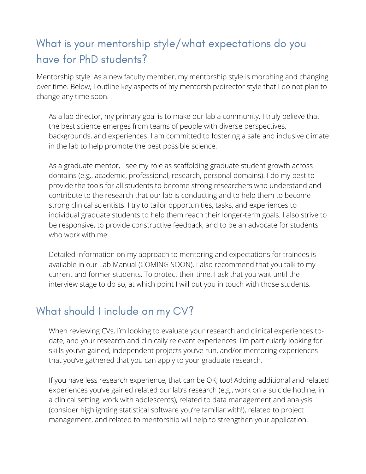## What is your mentorship style/what expectations do you have for PhD students?

Mentorship style: As a new faculty member, my mentorship style is morphing and changing over time. Below, I outline key aspects of my mentorship/director style that I do not plan to change any time soon.

As a lab director, my primary goal is to make our lab a community. I truly believe that the best science emerges from teams of people with diverse perspectives, backgrounds, and experiences. I am committed to fostering a safe and inclusive climate in the lab to help promote the best possible science.

As a graduate mentor, I see my role as scaffolding graduate student growth across domains (e.g., academic, professional, research, personal domains). I do my best to provide the tools for all students to become strong researchers who understand and contribute to the research that our lab is conducting and to help them to become strong clinical scientists. I try to tailor opportunities, tasks, and experiences to individual graduate students to help them reach their longer-term goals. I also strive to be responsive, to provide constructive feedback, and to be an advocate for students who work with me.

Detailed information on my approach to mentoring and expectations for trainees is available in our Lab Manual (COMING SOON). I also recommend that you talk to my current and former students. To protect their time, I ask that you wait until the interview stage to do so, at which point I will put you in touch with those students.

### What should I include on my CV?

When reviewing CVs, I'm looking to evaluate your research and clinical experiences todate, and your research and clinically relevant experiences. I'm particularly looking for skills you've gained, independent projects you've run, and/or mentoring experiences that you've gathered that you can apply to your graduate research.

If you have less research experience, that can be OK, too! Adding additional and related experiences you've gained related our lab's research (e.g., work on a suicide hotline, in a clinical setting, work with adolescents), related to data management and analysis (consider highlighting statistical software you're familiar with!), related to project management, and related to mentorship will help to strengthen your application.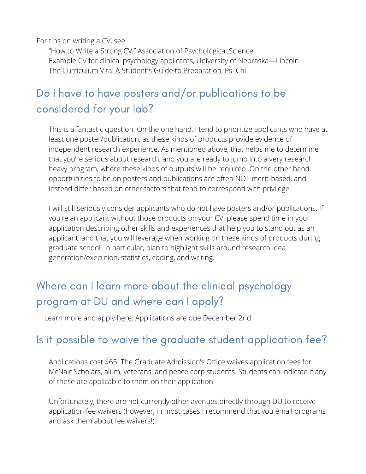For tips on writing a CV, see

["How to Write a Strong CV,"](https://www.psychologicalscience.org/members/apssc/undergraduate_update/undergraduate-update-summer-2013/how-to-write-a-strong-cv) Association of Psychological Science [Example CV for clinical psychology applicants,](https://psychology.unl.edu/psichi/Psi_Chi_Sample_CV.pdf) University of Nebraska—Lincoln [The Curriculum Vita: A Student's Guide to Preparation,](https://www.psichi.org/page/092EYEWin05dLandrum#.Xyw2dS2z1m8) Psi Chi

# Do I have to have posters and/or publications to be considered for your lab?

This is a fantastic question. On the one hand, I tend to prioritize applicants who have at least one poster/publication, as these kinds of products provide evidence of independent research experience. As mentioned above, that helps me to determine that you're serious about research, and you are ready to jump into a very research heavy program, where these kinds of outputs will be required. On the other hand, opportunities to be on posters and publications are often NOT merit-based, and instead differ based on other factors that tend to correspond with privilege.

I will still seriously consider applicants who do not have posters and/or publications. If you're an applicant without those products on your CV, please spend time in your application describing other skills and experiences that help you to stand out as an applicant, and that you will leverage when working on these kinds of products during graduate school. In particular, plan to highlight skills around research idea generation/execution, statistics, coding, and writing.

# Where can I learn more about the clinical psychology program at DU and where can I apply?

Learn more and apply [here](https://www.du.edu/academics/admission-steps/psychology-clinical-psychology-child-emphasis-phd-2020-2021). Applications are due December 2nd.

#### Is it possible to waive the graduate student application fee?

Applications cost \$65. The Graduate Admission's Office waives application fees for McNair Scholars, alum, veterans, and peace corp students. Students can indicate if any of these are applicable to them on their application.

Unfortunately, there are not currently other avenues directly through DU to receive application fee waivers (however, in most cases I recommend that you email programs and ask them about fee waivers!).